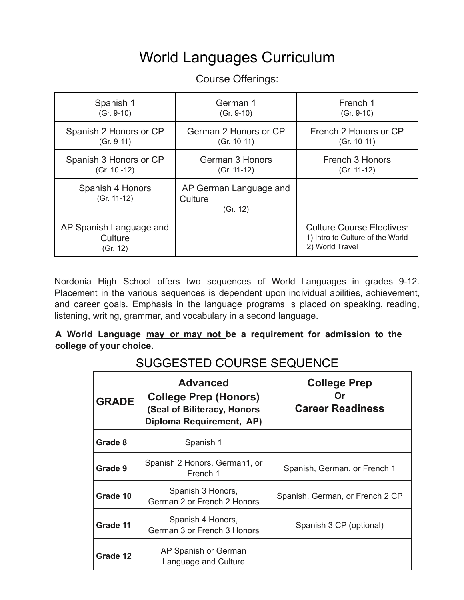# World Languages Curriculum

| Spanish 1                                      | German 1                                      | French 1                                                                                |
|------------------------------------------------|-----------------------------------------------|-----------------------------------------------------------------------------------------|
| $(Gr. 9-10)$                                   | $(Gr. 9-10)$                                  | $(Gr. 9-10)$                                                                            |
| Spanish 2 Honors or CP                         | German 2 Honors or CP                         | French 2 Honors or CP                                                                   |
| $(Gr. 9-11)$                                   | $(Gr. 10-11)$                                 | $(Gr. 10-11)$                                                                           |
| Spanish 3 Honors or CP                         | German 3 Honors                               | French 3 Honors                                                                         |
| $(Gr. 10 - 12)$                                | $(Gr. 11-12)$                                 | $(Gr. 11-12)$                                                                           |
| Spanish 4 Honors<br>(Gr. 11-12)                | AP German Language and<br>Culture<br>(Gr. 12) |                                                                                         |
| AP Spanish Language and<br>Culture<br>(Gr. 12) |                                               | <b>Culture Course Electives:</b><br>1) Intro to Culture of the World<br>2) World Travel |

Course Offerings:

Nordonia High School offers two sequences of World Languages in grades 9-12. Placement in the various sequences is dependent upon individual abilities, achievement, and career goals. Emphasis in the language programs is placed on speaking, reading, listening, writing, grammar, and vocabulary in a second language.

**A World Language may or may not be a requirement for admission to the college of your choice.**

| OUUULUTLU UUUNUL ULQULIIUL |                                                                                                            |                                                        |  |
|----------------------------|------------------------------------------------------------------------------------------------------------|--------------------------------------------------------|--|
| <b>GRADE</b>               | <b>Advanced</b><br><b>College Prep (Honors)</b><br>(Seal of Biliteracy, Honors<br>Diploma Requirement, AP) | <b>College Prep</b><br>( )r<br><b>Career Readiness</b> |  |
| Grade 8                    | Spanish 1                                                                                                  |                                                        |  |
| Grade 9                    | Spanish 2 Honors, German1, or<br>French 1                                                                  | Spanish, German, or French 1                           |  |
| Grade 10                   | Spanish 3 Honors,<br>German 2 or French 2 Honors                                                           | Spanish, German, or French 2 CP                        |  |
| Grade 11                   | Spanish 4 Honors,<br>German 3 or French 3 Honors                                                           | Spanish 3 CP (optional)                                |  |
| Grade 12                   | AP Spanish or German<br>Language and Culture                                                               |                                                        |  |

SUGGESTED COUPSE SEQUENCE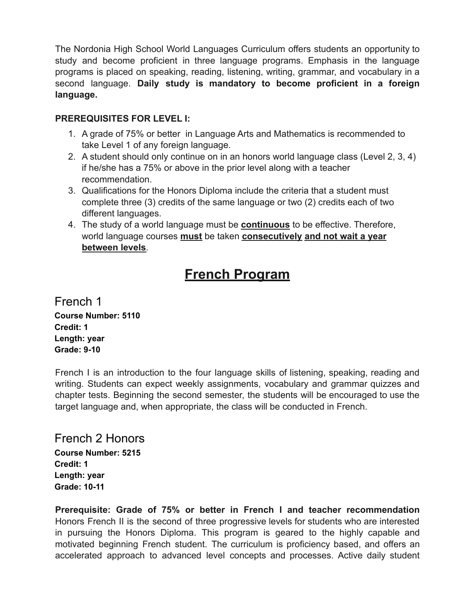The Nordonia High School World Languages Curriculum offers students an opportunity to study and become proficient in three language programs. Emphasis in the language programs is placed on speaking, reading, listening, writing, grammar, and vocabulary in a second language. **Daily study is mandatory to become proficient in a foreign language.**

#### **PREREQUISITES FOR LEVEL I:**

- 1. A grade of 75% or better in Language Arts and Mathematics is recommended to take Level 1 of any foreign language.
- 2. A student should only continue on in an honors world language class (Level 2, 3, 4) if he/she has a 75% or above in the prior level along with a teacher recommendation.
- 3. Qualifications for the Honors Diploma include the criteria that a student must complete three (3) credits of the same language or two (2) credits each of two different languages.
- 4. The study of a world language must be **continuous** to be effective. Therefore, world language courses **must** be taken **consecutively and not wait a year between levels**.

# **French Program**

French 1 **Course Number: 5110 Credit: 1 Length: year Grade: 9-10**

French I is an introduction to the four language skills of listening, speaking, reading and writing. Students can expect weekly assignments, vocabulary and grammar quizzes and chapter tests. Beginning the second semester, the students will be encouraged to use the target language and, when appropriate, the class will be conducted in French.

French 2 Honors **Course Number: 5215 Credit: 1 Length: year Grade: 10-11**

**Prerequisite: Grade of 75% or better in French I and teacher recommendation** Honors French II is the second of three progressive levels for students who are interested in pursuing the Honors Diploma. This program is geared to the highly capable and motivated beginning French student. The curriculum is proficiency based, and offers an accelerated approach to advanced level concepts and processes. Active daily student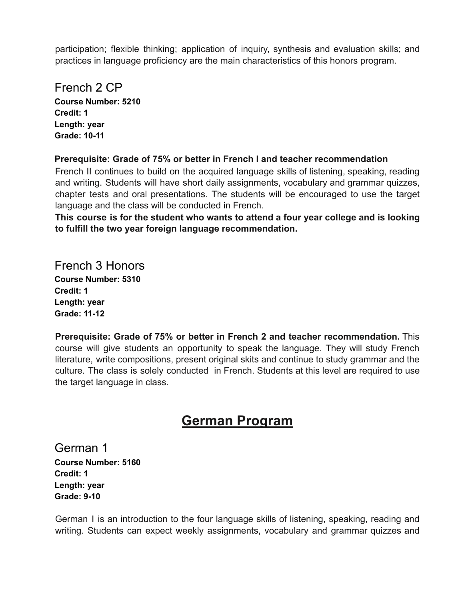participation; flexible thinking; application of inquiry, synthesis and evaluation skills; and practices in language proficiency are the main characteristics of this honors program.

## French 2 CP

**Course Number: 5210 Credit: 1 Length: year Grade: 10-11**

#### **Prerequisite: Grade of 75% or better in French I and teacher recommendation**

French II continues to build on the acquired language skills of listening, speaking, reading and writing. Students will have short daily assignments, vocabulary and grammar quizzes, chapter tests and oral presentations. The students will be encouraged to use the target language and the class will be conducted in French.

**This course is for the student who wants to attend a four year college and is looking to fulfill the two year foreign language recommendation.**

## French 3 Honors

**Course Number: 5310 Credit: 1 Length: year Grade: 11-12**

**Prerequisite: Grade of 75% or better in French 2 and teacher recommendation.** This course will give students an opportunity to speak the language. They will study French literature, write compositions, present original skits and continue to study grammar and the culture. The class is solely conducted in French. Students at this level are required to use the target language in class.

# **German Program**

German 1 **Course Number: 5160 Credit: 1 Length: year Grade: 9-10**

German I is an introduction to the four language skills of listening, speaking, reading and writing. Students can expect weekly assignments, vocabulary and grammar quizzes and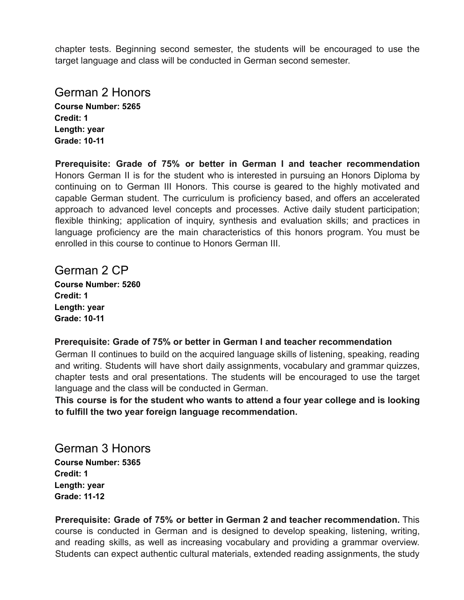chapter tests. Beginning second semester, the students will be encouraged to use the target language and class will be conducted in German second semester.

## German 2 Honors

**Course Number: 5265 Credit: 1 Length: year Grade: 10-11**

**Prerequisite: Grade of 75% or better in German I and teacher recommendation** Honors German II is for the student who is interested in pursuing an Honors Diploma by continuing on to German III Honors. This course is geared to the highly motivated and capable German student. The curriculum is proficiency based, and offers an accelerated approach to advanced level concepts and processes. Active daily student participation; flexible thinking; application of inquiry, synthesis and evaluation skills; and practices in language proficiency are the main characteristics of this honors program. You must be enrolled in this course to continue to Honors German III.

## German 2 CP

**Course Number: 5260 Credit: 1 Length: year Grade: 10-11**

#### **Prerequisite: Grade of 75% or better in German I and teacher recommendation**

German II continues to build on the acquired language skills of listening, speaking, reading and writing. Students will have short daily assignments, vocabulary and grammar quizzes, chapter tests and oral presentations. The students will be encouraged to use the target language and the class will be conducted in German.

**This course is for the student who wants to attend a four year college and is looking to fulfill the two year foreign language recommendation.**

# German 3 Honors

**Course Number: 5365 Credit: 1 Length: year Grade: 11-12**

**Prerequisite: Grade of 75% or better in German 2 and teacher recommendation.** This course is conducted in German and is designed to develop speaking, listening, writing, and reading skills, as well as increasing vocabulary and providing a grammar overview. Students can expect authentic cultural materials, extended reading assignments, the study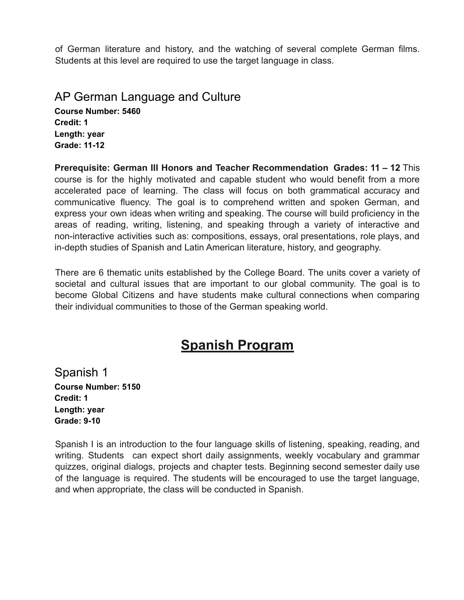of German literature and history, and the watching of several complete German films. Students at this level are required to use the target language in class.

#### AP German Language and Culture **Course Number: 5460 Credit: 1 Length: year Grade: 11-12**

**Prerequisite: German III Honors and Teacher Recommendation Grades: 11 – 12** This course is for the highly motivated and capable student who would benefit from a more accelerated pace of learning. The class will focus on both grammatical accuracy and communicative fluency. The goal is to comprehend written and spoken German, and express your own ideas when writing and speaking. The course will build proficiency in the areas of reading, writing, listening, and speaking through a variety of interactive and non-interactive activities such as: compositions, essays, oral presentations, role plays, and in-depth studies of Spanish and Latin American literature, history, and geography.

There are 6 thematic units established by the College Board. The units cover a variety of societal and cultural issues that are important to our global community. The goal is to become Global Citizens and have students make cultural connections when comparing their individual communities to those of the German speaking world.

# **Spanish Program**

Spanish 1 **Course Number: 5150 Credit: 1 Length: year Grade: 9-10**

Spanish I is an introduction to the four language skills of listening, speaking, reading, and writing. Students can expect short daily assignments, weekly vocabulary and grammar quizzes, original dialogs, projects and chapter tests. Beginning second semester daily use of the language is required. The students will be encouraged to use the target language, and when appropriate, the class will be conducted in Spanish.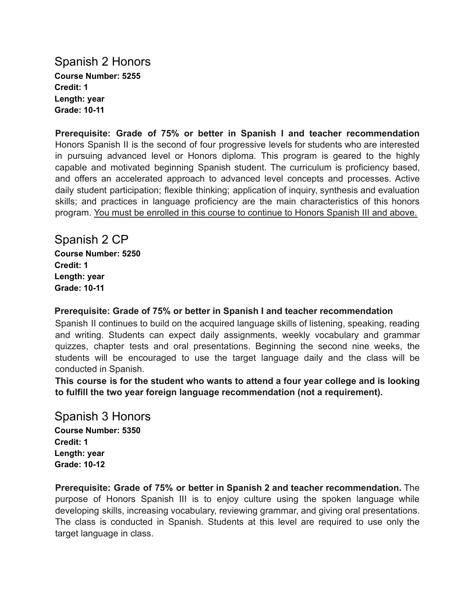Spanish 2 Honors **Course Number: 5255 Credit: 1 Length: year Grade: 10-11**

**Prerequisite: Grade of 75% or better in Spanish I and teacher recommendation** Honors Spanish II is the second of four progressive levels for students who are interested in pursuing advanced level or Honors diploma. This program is geared to the highly capable and motivated beginning Spanish student. The curriculum is proficiency based, and offers an accelerated approach to advanced level concepts and processes. Active daily student participation; flexible thinking; application of inquiry, synthesis and evaluation skills; and practices in language proficiency are the main characteristics of this honors program. You must be enrolled in this course to continue to Honors Spanish III and above.

Spanish 2 CP **Course Number: 5250 Credit: 1 Length: year Grade: 10-11**

**Prerequisite: Grade of 75% or better in Spanish I and teacher recommendation**

Spanish II continues to build on the acquired language skills of listening, speaking, reading and writing. Students can expect daily assignments, weekly vocabulary and grammar quizzes, chapter tests and oral presentations. Beginning the second nine weeks, the students will be encouraged to use the target language daily and the class will be conducted in Spanish.

**This course is for the student who wants to attend a four year college and is looking to fulfill the two year foreign language recommendation (not a requirement).**

Spanish 3 Honors **Course Number: 5350 Credit: 1 Length: year Grade: 10-12**

**Prerequisite: Grade of 75% or better in Spanish 2 and teacher recommendation.** The purpose of Honors Spanish III is to enjoy culture using the spoken language while developing skills, increasing vocabulary, reviewing grammar, and giving oral presentations. The class is conducted in Spanish. Students at this level are required to use only the target language in class.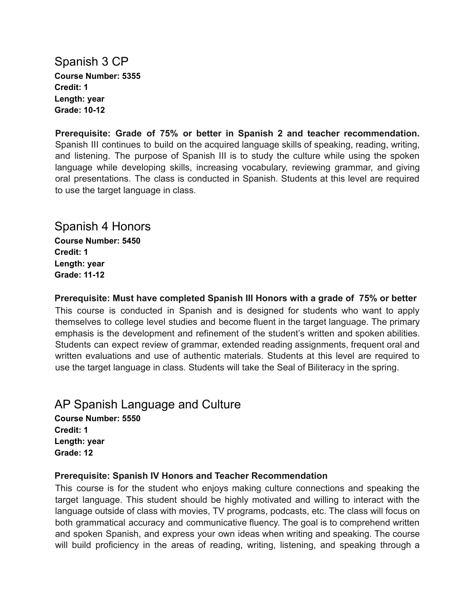Spanish 3 CP **Course Number: 5355 Credit: 1 Length: year Grade: 10-12**

**Prerequisite: Grade of 75% or better in Spanish 2 and teacher recommendation.** Spanish III continues to build on the acquired language skills of speaking, reading, writing, and listening. The purpose of Spanish III is to study the culture while using the spoken language while developing skills, increasing vocabulary, reviewing grammar, and giving oral presentations. The class is conducted in Spanish. Students at this level are required to use the target language in class.

### Spanish 4 Honors

**Course Number: 5450 Credit: 1 Length: year Grade: 11-12**

**Prerequisite: Must have completed Spanish III Honors with a grade of 75% or better**

This course is conducted in Spanish and is designed for students who want to apply themselves to college level studies and become fluent in the target language. The primary emphasis is the development and refinement of the student's written and spoken abilities. Students can expect review of grammar, extended reading assignments, frequent oral and written evaluations and use of authentic materials. Students at this level are required to use the target language in class. Students will take the Seal of Biliteracy in the spring.

## AP Spanish Language and Culture

**Course Number: 5550 Credit: 1 Length: year Grade: 12**

#### **Prerequisite: Spanish IV Honors and Teacher Recommendation**

This course is for the student who enjoys making culture connections and speaking the target language. This student should be highly motivated and willing to interact with the language outside of class with movies, TV programs, podcasts, etc. The class will focus on both grammatical accuracy and communicative fluency. The goal is to comprehend written and spoken Spanish, and express your own ideas when writing and speaking. The course will build proficiency in the areas of reading, writing, listening, and speaking through a